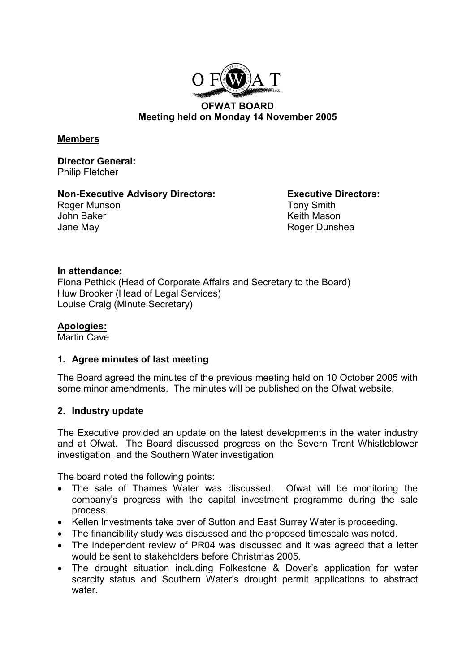

#### **OFWAT BOARD Meeting held on Monday 14 November 2005**

#### **Members**

**Director General:** Philip Fletcher

## **Non-Executive Advisory Directors: Executive Directors:**

Roger Munson **Tony Smith** John Baker **Keith Mason** Jane May **Roger Dunshea** 

## **In attendance:**

Fiona Pethick (Head of Corporate Affairs and Secretary to the Board) Huw Brooker (Head of Legal Services) Louise Craig (Minute Secretary)

## **Apologies:**

Martin Cave

## **1. Agree minutes of last meeting**

The Board agreed the minutes of the previous meeting held on 10 October 2005 with some minor amendments. The minutes will be published on the Ofwat website.

## **2. Industry update**

The Executive provided an update on the latest developments in the water industry and at Ofwat. The Board discussed progress on the Severn Trent Whistleblower investigation, and the Southern Water investigation

The board noted the following points:

- The sale of Thames Water was discussed. Ofwat will be monitoring the company's progress with the capital investment programme during the sale process.
- Kellen Investments take over of Sutton and East Surrey Water is proceeding.
- The financibility study was discussed and the proposed timescale was noted.
- The independent review of PR04 was discussed and it was agreed that a letter would be sent to stakeholders before Christmas 2005.
- The drought situation including Folkestone & Dover's application for water scarcity status and Southern Water's drought permit applications to abstract water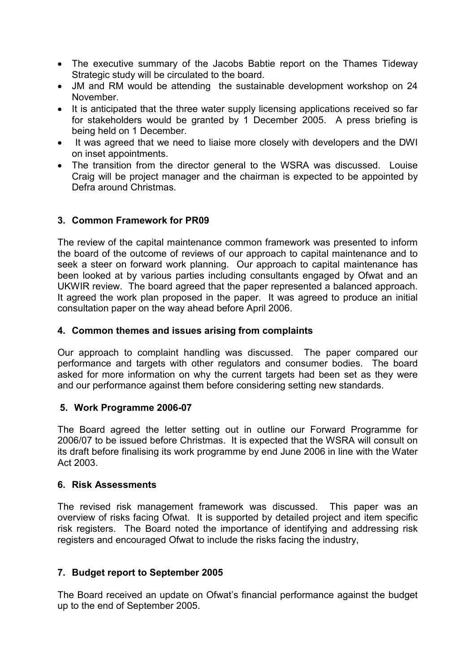- The executive summary of the Jacobs Babtie report on the Thames Tideway Strategic study will be circulated to the board.
- JM and RM would be attending the sustainable development workshop on 24 November.
- It is anticipated that the three water supply licensing applications received so far for stakeholders would be granted by 1 December 2005. A press briefing is being held on 1 December.
- It was agreed that we need to liaise more closely with developers and the DWI on inset appointments.
- The transition from the director general to the WSRA was discussed. Louise Craig will be project manager and the chairman is expected to be appointed by Defra around Christmas.

## **3. Common Framework for PR09**

The review of the capital maintenance common framework was presented to inform the board of the outcome of reviews of our approach to capital maintenance and to seek a steer on forward work planning. Our approach to capital maintenance has been looked at by various parties including consultants engaged by Ofwat and an UKWIR review. The board agreed that the paper represented a balanced approach. It agreed the work plan proposed in the paper. It was agreed to produce an initial consultation paper on the way ahead before April 2006.

#### **4. Common themes and issues arising from complaints**

Our approach to complaint handling was discussed. The paper compared our performance and targets with other regulators and consumer bodies. The board asked for more information on why the current targets had been set as they were and our performance against them before considering setting new standards.

#### **5. Work Programme 2006-07**

The Board agreed the letter setting out in outline our Forward Programme for 2006/07 to be issued before Christmas. It is expected that the WSRA will consult on its draft before finalising its work programme by end June 2006 in line with the Water Act 2003.

#### **6. Risk Assessments**

The revised risk management framework was discussed. This paper was an overview of risks facing Ofwat. It is supported by detailed project and item specific risk registers. The Board noted the importance of identifying and addressing risk registers and encouraged Ofwat to include the risks facing the industry,

## **7. Budget report to September 2005**

The Board received an update on Ofwat's financial performance against the budget up to the end of September 2005.